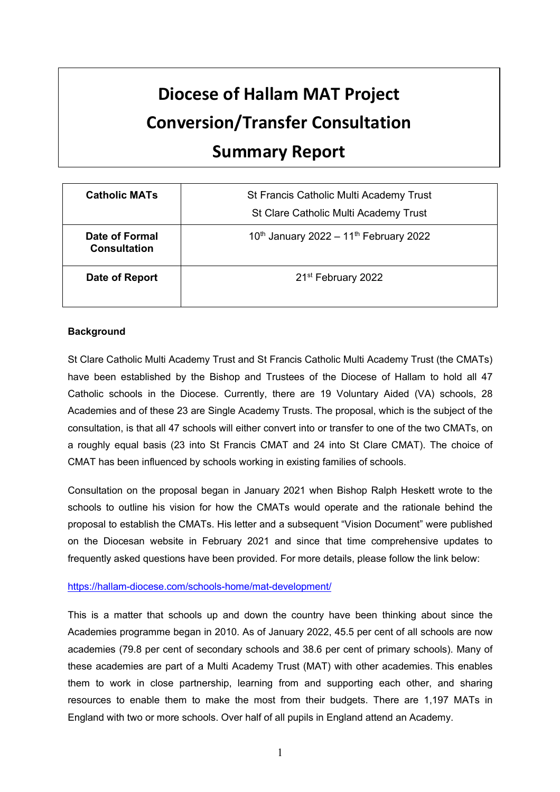# **Diocese of Hallam MAT Project Conversion/Transfer Consultation Summary Report**

| <b>Catholic MATs</b>                  | <b>St Francis Catholic Multi Academy Trust</b><br>St Clare Catholic Multi Academy Trust |
|---------------------------------------|-----------------------------------------------------------------------------------------|
| Date of Formal<br><b>Consultation</b> | 10th January 2022 - 11th February 2022                                                  |
| Date of Report                        | 21 <sup>st</sup> February 2022                                                          |

## **Background**

St Clare Catholic Multi Academy Trust and St Francis Catholic Multi Academy Trust (the CMATs) have been established by the Bishop and Trustees of the Diocese of Hallam to hold all 47 Catholic schools in the Diocese. Currently, there are 19 Voluntary Aided (VA) schools, 28 Academies and of these 23 are Single Academy Trusts. The proposal, which is the subject of the consultation, is that all 47 schools will either convert into or transfer to one of the two CMATs, on a roughly equal basis (23 into St Francis CMAT and 24 into St Clare CMAT). The choice of CMAT has been influenced by schools working in existing families of schools.

Consultation on the proposal began in January 2021 when Bishop Ralph Heskett wrote to the schools to outline his vision for how the CMATs would operate and the rationale behind the proposal to establish the CMATs. His letter and a subsequent "Vision Document" were published on the Diocesan website in February 2021 and since that time comprehensive updates to frequently asked questions have been provided. For more details, please follow the link below:

#### https://hallam-diocese.com/schools-home/mat-development/

This is a matter that schools up and down the country have been thinking about since the Academies programme began in 2010. As of January 2022, 45.5 per cent of all schools are now academies (79.8 per cent of secondary schools and 38.6 per cent of primary schools). Many of these academies are part of a Multi Academy Trust (MAT) with other academies. This enables them to work in close partnership, learning from and supporting each other, and sharing resources to enable them to make the most from their budgets. There are 1,197 MATs in England with two or more schools. Over half of all pupils in England attend an Academy.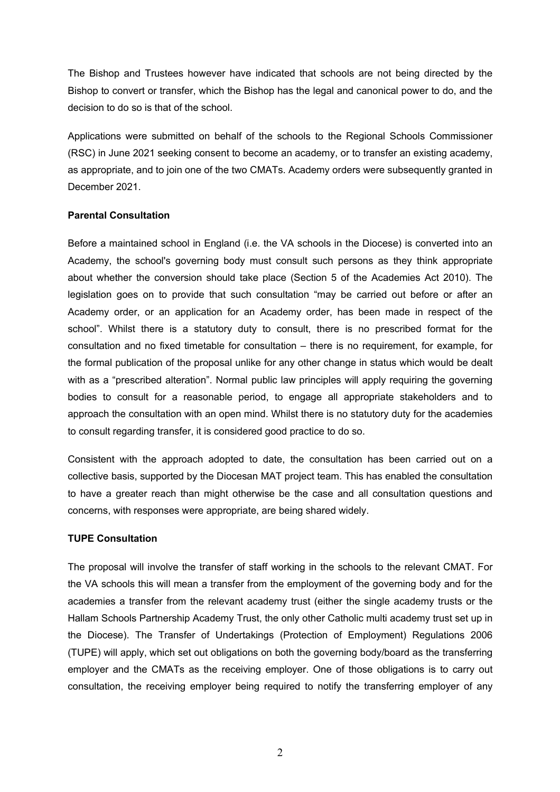The Bishop and Trustees however have indicated that schools are not being directed by the Bishop to convert or transfer, which the Bishop has the legal and canonical power to do, and the decision to do so is that of the school.

Applications were submitted on behalf of the schools to the Regional Schools Commissioner (RSC) in June 2021 seeking consent to become an academy, or to transfer an existing academy, as appropriate, and to join one of the two CMATs. Academy orders were subsequently granted in December 2021.

#### **Parental Consultation**

Before a maintained school in England (i.e. the VA schools in the Diocese) is converted into an Academy, the school's governing body must consult such persons as they think appropriate about whether the conversion should take place (Section 5 of the Academies Act 2010). The legislation goes on to provide that such consultation "may be carried out before or after an Academy order, or an application for an Academy order, has been made in respect of the school". Whilst there is a statutory duty to consult, there is no prescribed format for the consultation and no fixed timetable for consultation – there is no requirement, for example, for the formal publication of the proposal unlike for any other change in status which would be dealt with as a "prescribed alteration". Normal public law principles will apply requiring the governing bodies to consult for a reasonable period, to engage all appropriate stakeholders and to approach the consultation with an open mind. Whilst there is no statutory duty for the academies to consult regarding transfer, it is considered good practice to do so.

Consistent with the approach adopted to date, the consultation has been carried out on a collective basis, supported by the Diocesan MAT project team. This has enabled the consultation to have a greater reach than might otherwise be the case and all consultation questions and concerns, with responses were appropriate, are being shared widely.

#### **TUPE Consultation**

The proposal will involve the transfer of staff working in the schools to the relevant CMAT. For the VA schools this will mean a transfer from the employment of the governing body and for the academies a transfer from the relevant academy trust (either the single academy trusts or the Hallam Schools Partnership Academy Trust, the only other Catholic multi academy trust set up in the Diocese). The Transfer of Undertakings (Protection of Employment) Regulations 2006 (TUPE) will apply, which set out obligations on both the governing body/board as the transferring employer and the CMATs as the receiving employer. One of those obligations is to carry out consultation, the receiving employer being required to notify the transferring employer of any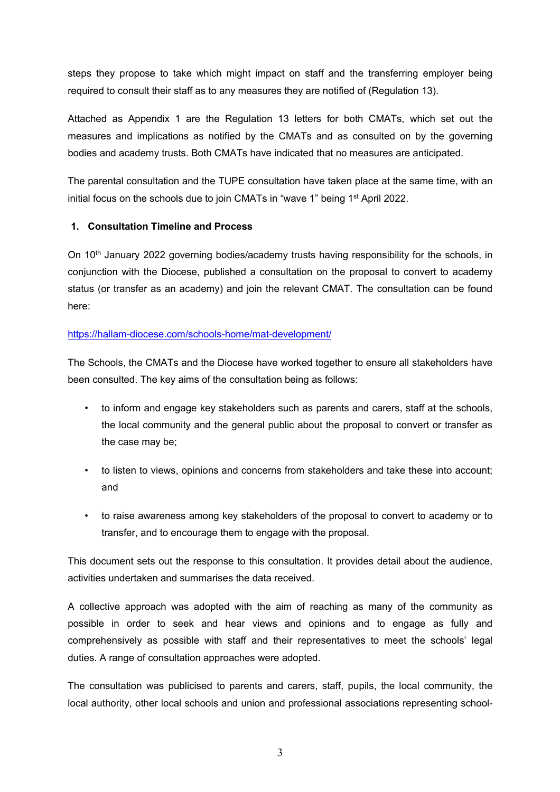steps they propose to take which might impact on staff and the transferring employer being required to consult their staff as to any measures they are notified of (Regulation 13).

Attached as Appendix 1 are the Regulation 13 letters for both CMATs, which set out the measures and implications as notified by the CMATs and as consulted on by the governing bodies and academy trusts. Both CMATs have indicated that no measures are anticipated.

The parental consultation and the TUPE consultation have taken place at the same time, with an initial focus on the schools due to join CMATs in "wave 1" being 1<sup>st</sup> April 2022.

## **1. Consultation Timeline and Process**

On 10<sup>th</sup> January 2022 governing bodies/academy trusts having responsibility for the schools, in conjunction with the Diocese, published a consultation on the proposal to convert to academy status (or transfer as an academy) and join the relevant CMAT. The consultation can be found here:

## https://hallam-diocese.com/schools-home/mat-development/

The Schools, the CMATs and the Diocese have worked together to ensure all stakeholders have been consulted. The key aims of the consultation being as follows:

- to inform and engage key stakeholders such as parents and carers, staff at the schools, the local community and the general public about the proposal to convert or transfer as the case may be;
- to listen to views, opinions and concerns from stakeholders and take these into account; and
- to raise awareness among key stakeholders of the proposal to convert to academy or to transfer, and to encourage them to engage with the proposal.

This document sets out the response to this consultation. It provides detail about the audience, activities undertaken and summarises the data received.

A collective approach was adopted with the aim of reaching as many of the community as possible in order to seek and hear views and opinions and to engage as fully and comprehensively as possible with staff and their representatives to meet the schools' legal duties. A range of consultation approaches were adopted.

The consultation was publicised to parents and carers, staff, pupils, the local community, the local authority, other local schools and union and professional associations representing school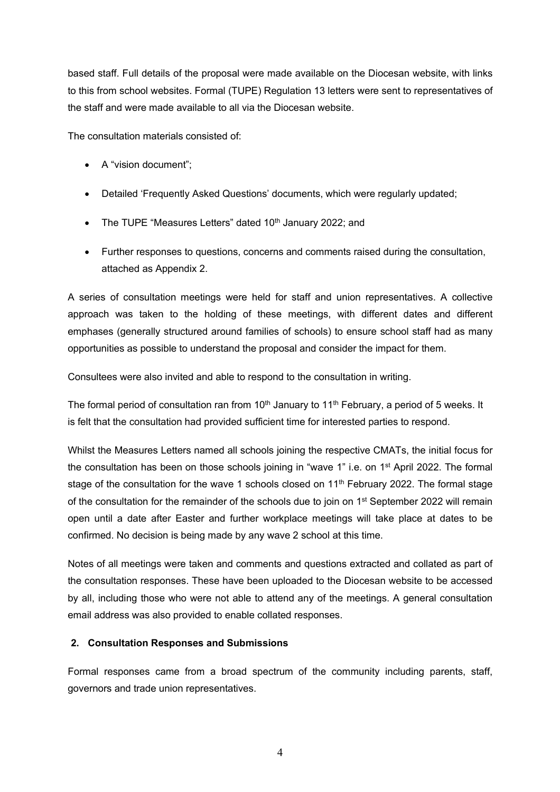based staff. Full details of the proposal were made available on the Diocesan website, with links to this from school websites. Formal (TUPE) Regulation 13 letters were sent to representatives of the staff and were made available to all via the Diocesan website.

The consultation materials consisted of:

- A "vision document";
- Detailed 'Frequently Asked Questions' documents, which were regularly updated;
- The TUPE "Measures Letters" dated  $10<sup>th</sup>$  January 2022; and
- Further responses to questions, concerns and comments raised during the consultation, attached as Appendix 2.

A series of consultation meetings were held for staff and union representatives. A collective approach was taken to the holding of these meetings, with different dates and different emphases (generally structured around families of schools) to ensure school staff had as many opportunities as possible to understand the proposal and consider the impact for them.

Consultees were also invited and able to respond to the consultation in writing.

The formal period of consultation ran from 10<sup>th</sup> January to 11<sup>th</sup> February, a period of 5 weeks. It is felt that the consultation had provided sufficient time for interested parties to respond.

Whilst the Measures Letters named all schools joining the respective CMATs, the initial focus for the consultation has been on those schools joining in "wave 1" i.e. on 1st April 2022. The formal stage of the consultation for the wave 1 schools closed on 11<sup>th</sup> February 2022. The formal stage of the consultation for the remainder of the schools due to join on 1<sup>st</sup> September 2022 will remain open until a date after Easter and further workplace meetings will take place at dates to be confirmed. No decision is being made by any wave 2 school at this time.

Notes of all meetings were taken and comments and questions extracted and collated as part of the consultation responses. These have been uploaded to the Diocesan website to be accessed by all, including those who were not able to attend any of the meetings. A general consultation email address was also provided to enable collated responses.

## **2. Consultation Responses and Submissions**

Formal responses came from a broad spectrum of the community including parents, staff, governors and trade union representatives.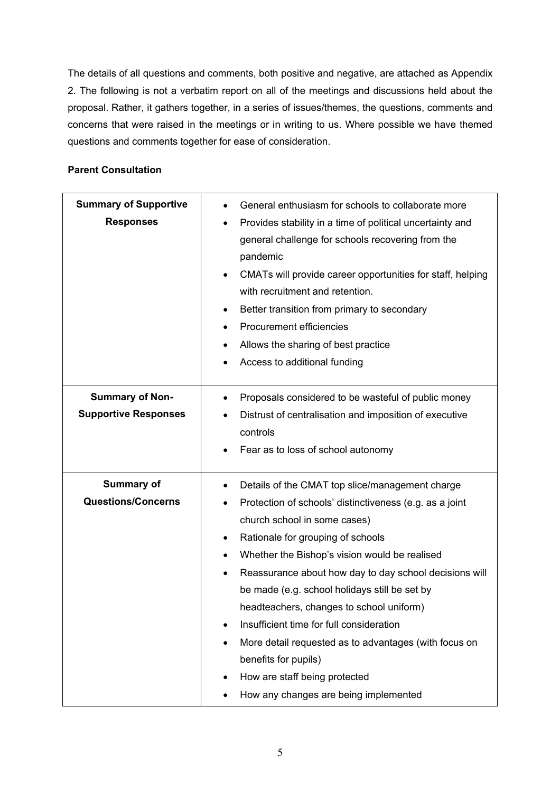The details of all questions and comments, both positive and negative, are attached as Appendix 2. The following is not a verbatim report on all of the meetings and discussions held about the proposal. Rather, it gathers together, in a series of issues/themes, the questions, comments and concerns that were raised in the meetings or in writing to us. Where possible we have themed questions and comments together for ease of consideration.

#### **Parent Consultation**

| <b>Summary of Supportive</b><br><b>Responses</b>      | General enthusiasm for schools to collaborate more<br>Provides stability in a time of political uncertainty and<br>general challenge for schools recovering from the<br>pandemic<br>CMATs will provide career opportunities for staff, helping<br>$\bullet$<br>with recruitment and retention.<br>Better transition from primary to secondary<br>$\bullet$<br>Procurement efficiencies<br>$\bullet$<br>Allows the sharing of best practice<br>٠<br>Access to additional funding                                                                                                                                                                                      |
|-------------------------------------------------------|----------------------------------------------------------------------------------------------------------------------------------------------------------------------------------------------------------------------------------------------------------------------------------------------------------------------------------------------------------------------------------------------------------------------------------------------------------------------------------------------------------------------------------------------------------------------------------------------------------------------------------------------------------------------|
| <b>Summary of Non-</b><br><b>Supportive Responses</b> | Proposals considered to be wasteful of public money<br>$\bullet$<br>Distrust of centralisation and imposition of executive<br>$\bullet$<br>controls<br>Fear as to loss of school autonomy                                                                                                                                                                                                                                                                                                                                                                                                                                                                            |
| Summary of<br><b>Questions/Concerns</b>               | Details of the CMAT top slice/management charge<br>$\bullet$<br>Protection of schools' distinctiveness (e.g. as a joint<br>$\bullet$<br>church school in some cases)<br>Rationale for grouping of schools<br>$\bullet$<br>Whether the Bishop's vision would be realised<br>$\bullet$<br>Reassurance about how day to day school decisions will<br>be made (e.g. school holidays still be set by<br>headteachers, changes to school uniform)<br>Insufficient time for full consideration<br>More detail requested as to advantages (with focus on<br>٠<br>benefits for pupils)<br>How are staff being protected<br>$\bullet$<br>How any changes are being implemented |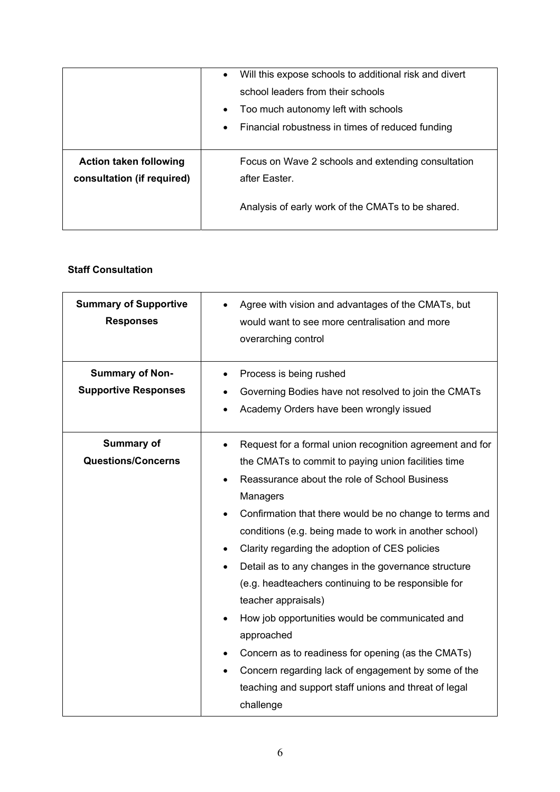|                                                             | Will this expose schools to additional risk and divert<br>$\bullet$<br>school leaders from their schools<br>Too much autonomy left with schools<br>$\bullet$<br>Financial robustness in times of reduced funding<br>$\bullet$ |
|-------------------------------------------------------------|-------------------------------------------------------------------------------------------------------------------------------------------------------------------------------------------------------------------------------|
| <b>Action taken following</b><br>consultation (if required) | Focus on Wave 2 schools and extending consultation<br>after Easter.<br>Analysis of early work of the CMATs to be shared.                                                                                                      |

## **Staff Consultation**

| <b>Summary of Supportive</b><br><b>Responses</b><br><b>Summary of Non-</b><br><b>Supportive Responses</b> | Agree with vision and advantages of the CMATs, but<br>would want to see more centralisation and more<br>overarching control<br>Process is being rushed<br>$\bullet$<br>Governing Bodies have not resolved to join the CMATs<br>Academy Orders have been wrongly issued                                                                                                                                                                                                                                                                                                                                                                                                                                                                             |
|-----------------------------------------------------------------------------------------------------------|----------------------------------------------------------------------------------------------------------------------------------------------------------------------------------------------------------------------------------------------------------------------------------------------------------------------------------------------------------------------------------------------------------------------------------------------------------------------------------------------------------------------------------------------------------------------------------------------------------------------------------------------------------------------------------------------------------------------------------------------------|
| Summary of<br><b>Questions/Concerns</b>                                                                   | Request for a formal union recognition agreement and for<br>the CMATs to commit to paying union facilities time<br>Reassurance about the role of School Business<br>Managers<br>Confirmation that there would be no change to terms and<br>conditions (e.g. being made to work in another school)<br>Clarity regarding the adoption of CES policies<br>٠<br>Detail as to any changes in the governance structure<br>(e.g. headteachers continuing to be responsible for<br>teacher appraisals)<br>How job opportunities would be communicated and<br>approached<br>Concern as to readiness for opening (as the CMATs)<br>Concern regarding lack of engagement by some of the<br>teaching and support staff unions and threat of legal<br>challenge |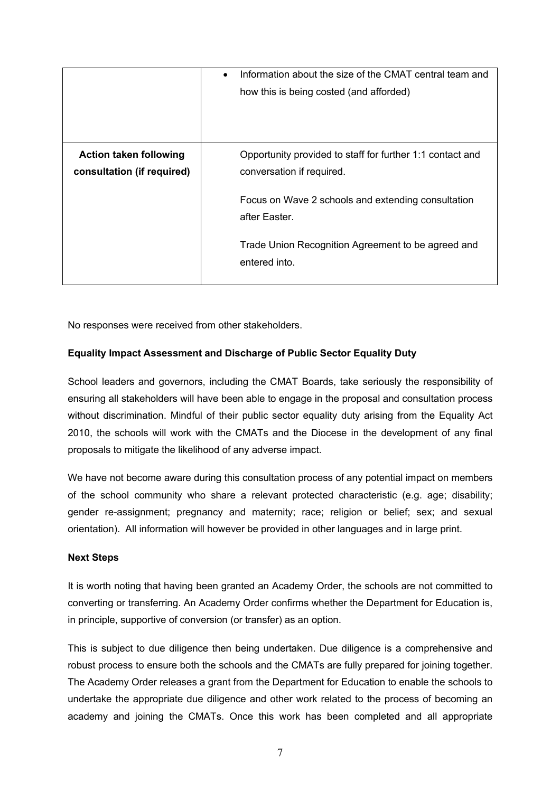|                                                             | Information about the size of the CMAT central team and<br>how this is being costed (and afforded) |
|-------------------------------------------------------------|----------------------------------------------------------------------------------------------------|
| <b>Action taken following</b><br>consultation (if required) | Opportunity provided to staff for further 1:1 contact and<br>conversation if required.             |
|                                                             | Focus on Wave 2 schools and extending consultation<br>after Easter.                                |
|                                                             | Trade Union Recognition Agreement to be agreed and<br>entered into.                                |

No responses were received from other stakeholders.

## **Equality Impact Assessment and Discharge of Public Sector Equality Duty**

School leaders and governors, including the CMAT Boards, take seriously the responsibility of ensuring all stakeholders will have been able to engage in the proposal and consultation process without discrimination. Mindful of their public sector equality duty arising from the Equality Act 2010, the schools will work with the CMATs and the Diocese in the development of any final proposals to mitigate the likelihood of any adverse impact.

We have not become aware during this consultation process of any potential impact on members of the school community who share a relevant protected characteristic (e.g. age; disability; gender re-assignment; pregnancy and maternity; race; religion or belief; sex; and sexual orientation). All information will however be provided in other languages and in large print.

#### **Next Steps**

It is worth noting that having been granted an Academy Order, the schools are not committed to converting or transferring. An Academy Order confirms whether the Department for Education is, in principle, supportive of conversion (or transfer) as an option.

This is subject to due diligence then being undertaken. Due diligence is a comprehensive and robust process to ensure both the schools and the CMATs are fully prepared for joining together. The Academy Order releases a grant from the Department for Education to enable the schools to undertake the appropriate due diligence and other work related to the process of becoming an academy and joining the CMATs. Once this work has been completed and all appropriate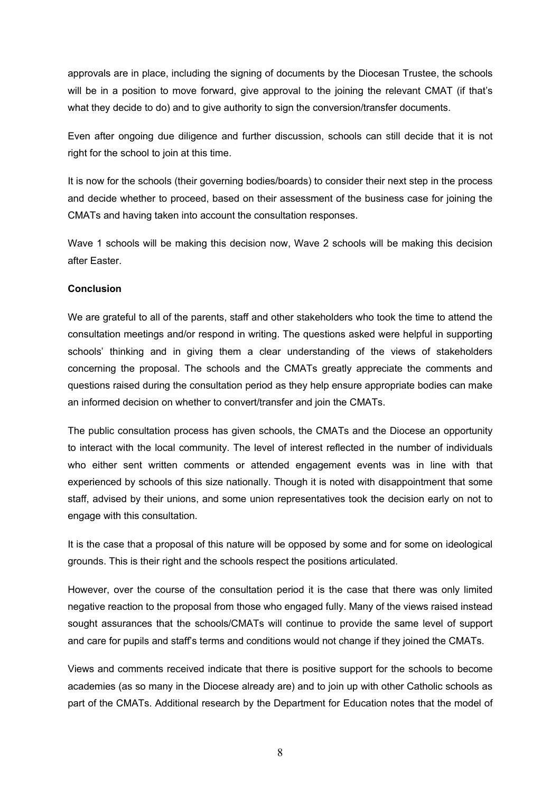approvals are in place, including the signing of documents by the Diocesan Trustee, the schools will be in a position to move forward, give approval to the joining the relevant CMAT (if that's what they decide to do) and to give authority to sign the conversion/transfer documents.

Even after ongoing due diligence and further discussion, schools can still decide that it is not right for the school to join at this time.

It is now for the schools (their governing bodies/boards) to consider their next step in the process and decide whether to proceed, based on their assessment of the business case for joining the CMATs and having taken into account the consultation responses.

Wave 1 schools will be making this decision now, Wave 2 schools will be making this decision after Easter.

## **Conclusion**

We are grateful to all of the parents, staff and other stakeholders who took the time to attend the consultation meetings and/or respond in writing. The questions asked were helpful in supporting schools' thinking and in giving them a clear understanding of the views of stakeholders concerning the proposal. The schools and the CMATs greatly appreciate the comments and questions raised during the consultation period as they help ensure appropriate bodies can make an informed decision on whether to convert/transfer and join the CMATs.

The public consultation process has given schools, the CMATs and the Diocese an opportunity to interact with the local community. The level of interest reflected in the number of individuals who either sent written comments or attended engagement events was in line with that experienced by schools of this size nationally. Though it is noted with disappointment that some staff, advised by their unions, and some union representatives took the decision early on not to engage with this consultation.

It is the case that a proposal of this nature will be opposed by some and for some on ideological grounds. This is their right and the schools respect the positions articulated.

However, over the course of the consultation period it is the case that there was only limited negative reaction to the proposal from those who engaged fully. Many of the views raised instead sought assurances that the schools/CMATs will continue to provide the same level of support and care for pupils and staff's terms and conditions would not change if they joined the CMATs.

Views and comments received indicate that there is positive support for the schools to become academies (as so many in the Diocese already are) and to join up with other Catholic schools as part of the CMATs. Additional research by the Department for Education notes that the model of